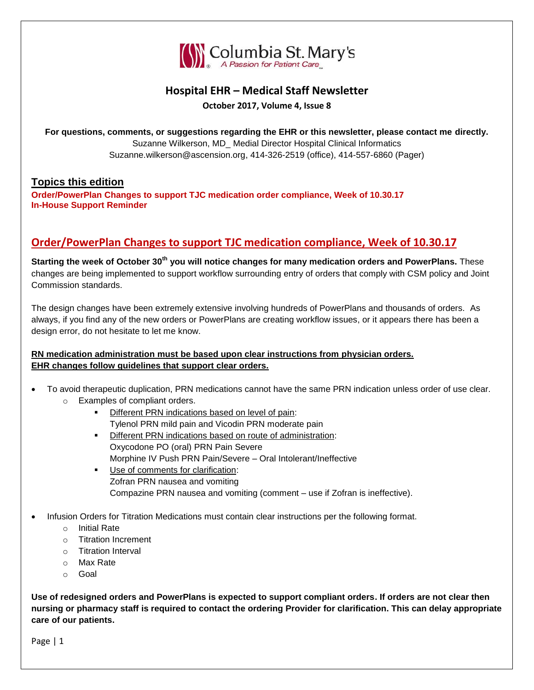

## **Hospital EHR – Medical Staff Newsletter**

**October 2017, Volume 4, Issue 8**

**For questions, comments, or suggestions regarding the EHR or this newsletter, please contact me directly.** Suzanne Wilkerson, MD\_ Medial Director Hospital Clinical Informatics Suzanne.wilkerson@ascension.org, 414-326-2519 (office), 414-557-6860 (Pager)

## **Topics this edition**

**Order/PowerPlan Changes to support TJC medication order compliance, Week of 10.30.17 In-House Support Reminder**

# **Order/PowerPlan Changes to support TJC medication compliance, Week of 10.30.17**

**Starting the week of October 30th you will notice changes for many medication orders and PowerPlans.** These changes are being implemented to support workflow surrounding entry of orders that comply with CSM policy and Joint Commission standards.

The design changes have been extremely extensive involving hundreds of PowerPlans and thousands of orders. As always, if you find any of the new orders or PowerPlans are creating workflow issues, or it appears there has been a design error, do not hesitate to let me know.

## **RN medication administration must be based upon clear instructions from physician orders. EHR changes follow guidelines that support clear orders.**

- To avoid therapeutic duplication, PRN medications cannot have the same PRN indication unless order of use clear. o Examples of compliant orders.
	- **Different PRN indications based on level of pain:** Tylenol PRN mild pain and Vicodin PRN moderate pain
	- **Different PRN indications based on route of administration:** Oxycodone PO (oral) PRN Pain Severe Morphine IV Push PRN Pain/Severe – Oral Intolerant/Ineffective
	- **Use of comments for clarification:** Zofran PRN nausea and vomiting Compazine PRN nausea and vomiting (comment – use if Zofran is ineffective).
- Infusion Orders for Titration Medications must contain clear instructions per the following format.
	- o Initial Rate
	- o Titration Increment
	- o Titration Interval
	- o Max Rate
	- o Goal

**Use of redesigned orders and PowerPlans is expected to support compliant orders. If orders are not clear then nursing or pharmacy staff is required to contact the ordering Provider for clarification. This can delay appropriate care of our patients.**

Page | 1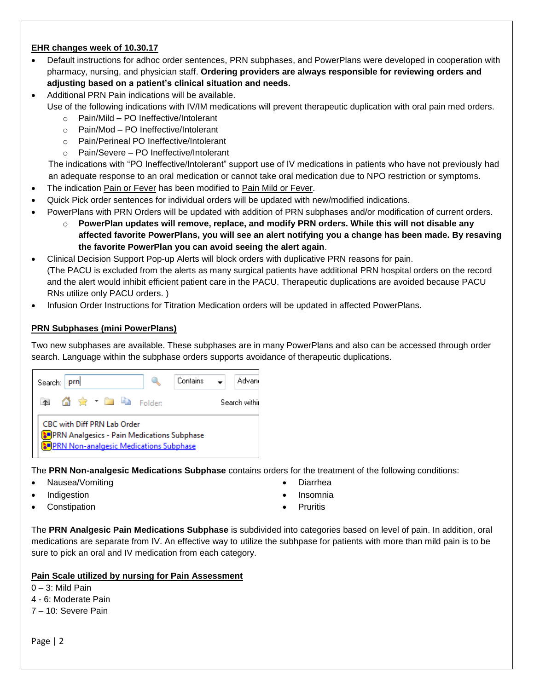### **EHR changes week of 10.30.17**

- Default instructions for adhoc order sentences, PRN subphases, and PowerPlans were developed in cooperation with pharmacy, nursing, and physician staff. **Ordering providers are always responsible for reviewing orders and adjusting based on a patient's clinical situation and needs.**
- Additional PRN Pain indications will be available. Use of the following indications with IV/IM medications will prevent therapeutic duplication with oral pain med orders.
	- o Pain/Mild **–** PO Ineffective/Intolerant
	- o Pain/Mod PO Ineffective/Intolerant
	- o Pain/Perineal PO Ineffective/Intolerant
	- o Pain/Severe PO Ineffective/Intolerant

The indications with "PO Ineffective/Intolerant" support use of IV medications in patients who have not previously had an adequate response to an oral medication or cannot take oral medication due to NPO restriction or symptoms.

- The indication Pain or Fever has been modified to Pain Mild or Fever.
- Quick Pick order sentences for individual orders will be updated with new/modified indications.
- PowerPlans with PRN Orders will be updated with addition of PRN subphases and/or modification of current orders.
	- o **PowerPlan updates will remove, replace, and modify PRN orders. While this will not disable any affected favorite PowerPlans, you will see an alert notifying you a change has been made. By resaving the favorite PowerPlan you can avoid seeing the alert again**.
- Clinical Decision Support Pop-up Alerts will block orders with duplicative PRN reasons for pain. (The PACU is excluded from the alerts as many surgical patients have additional PRN hospital orders on the record and the alert would inhibit efficient patient care in the PACU. Therapeutic duplications are avoided because PACU RNs utilize only PACU orders. )
- Infusion Order Instructions for Titration Medication orders will be updated in affected PowerPlans.

## **PRN Subphases (mini PowerPlans)**

Two new subphases are available. These subphases are in many PowerPlans and also can be accessed through order search. Language within the subphase orders supports avoidance of therapeutic duplications.



The **PRN Non-analgesic Medications Subphase** contains orders for the treatment of the following conditions:

- Nausea/Vomiting
- Indigestion
- **Constipation**
- Diarrhea
- Insomnia
- **Pruritis**

The **PRN Analgesic Pain Medications Subphase** is subdivided into categories based on level of pain. In addition, oral medications are separate from IV. An effective way to utilize the subhpase for patients with more than mild pain is to be sure to pick an oral and IV medication from each category.

### **Pain Scale utilized by nursing for Pain Assessment**

 $0 - 3$ : Mild Pain

- 4 6: Moderate Pain
- 7 10: Severe Pain

Page | 2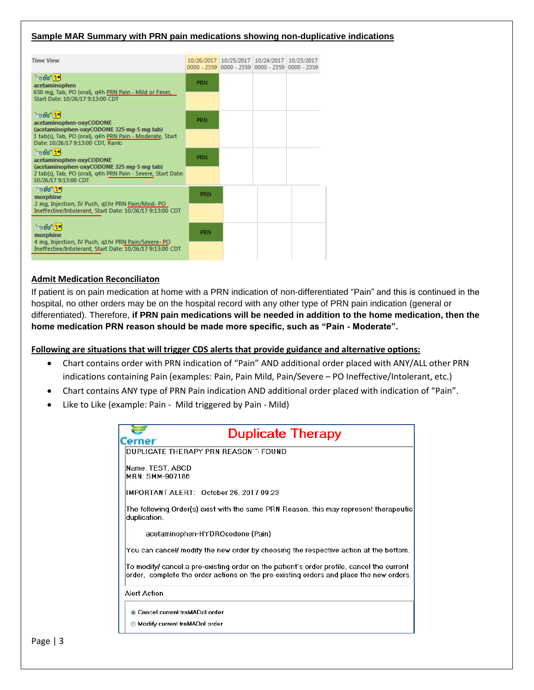#### **Sample MAR Summary with PRN pain medications showing non-duplicative indications**

| <b>Time View</b>                                                                                                                                                                         |            | 10/26/2017 10/25/2017 10/24/2017 10/23/2017<br>0000 - 2359 0000 - 2359 0000 - 2359 0000 - 2359 |  |
|------------------------------------------------------------------------------------------------------------------------------------------------------------------------------------------|------------|------------------------------------------------------------------------------------------------|--|
| $\log 66$ $\approx$<br>acetaminophen<br>650 mg, Tab, PO (oral), q4h PRN Pain - Mild or Fever,<br>Start Date: 10/26/17 9:13:00 CDT                                                        | <b>PRN</b> |                                                                                                |  |
| $\frac{1}{2}66$<br>acetaminophen-oxyCODONE<br>(acetaminophen-oxyCODONE 325 mg-5 mg tab)<br>1 tab(s), Tab, PO (oral), q4h PRN Pain - Moderate, Start<br>Date: 10/26/17 9:13:00 CDT, Rank: | <b>PRN</b> |                                                                                                |  |
| $\log$ $\approx$<br>acetaminophen-oxyCODONE<br>(acetaminophen-oxyCODONE 325 mg-5 mg tab)<br>2 tab(s), Tab, PO (oral), g4h PRN Pain - Severe, Start Date:<br>10/26/17 9:13:00 CDT         | <b>PRN</b> |                                                                                                |  |
| $\frac{1}{2}$ 66 $\frac{1}{2}$<br>morphine<br>2 mg, Injection, IV Push, g1hr PRN Pain/Mod-PO<br>Ineffective/Intolerant, Start Date: 10/26/17 9:13:00 CDT                                 | <b>PRN</b> |                                                                                                |  |
| $\frac{1}{2}66$<br>morphine<br>4 mg, Injection, IV Push, g1hr PRN Pain/Severe- PO<br>Ineffective/Intolerant, Start Date: 10/26/17 9:13:00 CDT                                            | <b>PRN</b> |                                                                                                |  |

#### **Admit Medication Reconciliaton**

If patient is on pain medication at home with a PRN indication of non-differentiated "Pain" and this is continued in the hospital, no other orders may be on the hospital record with any other type of PRN pain indication (general or differentiated). Therefore, **if PRN pain medications will be needed in addition to the home medication, then the home medication PRN reason should be made more specific, such as "Pain - Moderate".**

#### **Following are situations that will trigger CDS alerts that provide guidance and alternative options:**

- Chart contains order with PRN indication of "Pain" AND additional order placed with ANY/ALL other PRN indications containing Pain (examples: Pain, Pain Mild, Pain/Severe – PO Ineffective/Intolerant, etc.)
- Chart contains ANY type of PRN Pain indication AND additional order placed with indication of "Pain".
- Like to Like (example: Pain Mild triggered by Pain Mild)

| <b>Duplicate Therapy</b>                                                                                                                                                             |
|--------------------------------------------------------------------------------------------------------------------------------------------------------------------------------------|
| <b>Cerner</b>                                                                                                                                                                        |
| DUPLICATE THERAPY PRN REASON T FOUND                                                                                                                                                 |
| Name: TEST. ABCD                                                                                                                                                                     |
| MRN: SMM-907186                                                                                                                                                                      |
| IMPORTANT ALERT: October 26, 2017 09:23                                                                                                                                              |
| The following Order(s) exist with the same PRN Reason, this may represent therapeutic.<br>duplication.                                                                               |
| acetaminophen-HYDROcodone (Pain)                                                                                                                                                     |
| You can cancel/ modify the new order by choosing the respective action at the bottom.                                                                                                |
| To modify/ cancel a pre-existing order on the patient's order profile, cancel the current-<br>order, complete the order actions on the pre-existing orders and place the new orders. |
| Alert Action                                                                                                                                                                         |
| Cancel current traMADol order                                                                                                                                                        |
| Modify current traMADol order                                                                                                                                                        |
|                                                                                                                                                                                      |